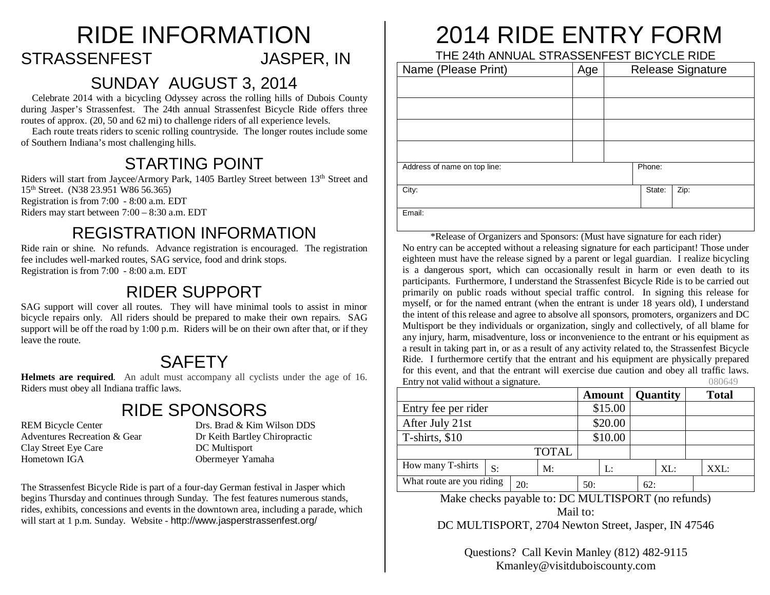### RIDE INFORMATION STRASSENFEST JASPER, IN

#### SUNDAY AUGUST 3, 2014

Celebrate 2014 with a bicycling Odyssey across the rolling hills of Dubois County during Jasper's Strassenfest. The 24th annual Strassenfest Bicycle Ride offers three routes of approx. (20, 50 and 62 mi) to challenge riders of all experience levels.

Each route treats riders to scenic rolling countryside. The longer routes include some of Southern Indiana's most challenging hills.

#### STARTING POINT

Riders will start from Jaycee/Armory Park, 1405 Bartley Street between 13<sup>th</sup> Street and 15th Street. (N38 23.951 W86 56.365) Registration is from 7:00 - 8:00 a.m. EDT Riders may start between 7:00 – 8:30 a.m. EDT

#### REGISTRATION INFORMATION

Ride rain or shine. No refunds. Advance registration is encouraged. The registration fee includes well-marked routes, SAG service, food and drink stops. Registration is from 7:00 - 8:00 a.m. EDT

#### RIDER SUPPORT

SAG support will cover all routes. They will have minimal tools to assist in minor bicycle repairs only. All riders should be prepared to make their own repairs. SAG support will be off the road by 1:00 p.m. Riders will be on their own after that, or if they leave the route.

#### **SAFFTY**

**Helmets are required**. An adult must accompany all cyclists under the age of 16. Riders must obey all Indiana traffic laws.

#### RIDE SPONSORS

Clay Street Eye Care DC Multisport Hometown IGA Obermeyer Yamaha

REM Bicycle Center Drs. Brad & Kim Wilson DDS Adventures Recreation & Gear Dr Keith Bartley Chiropractic

The Strassenfest Bicycle Ride is part of a four-day German festival in Jasper which begins Thursday and continues through Sunday. The fest features numerous stands, rides, exhibits, concessions and events in the downtown area, including a parade, which will start at 1 p.m. Sunday. Website - http://www.jasperstrassenfest.org/

### 2014 RIDE ENTRY FORM

THE 24th ANNUAL STRASSENFEST BICYCLE RIDE

| Name (Please Print)          | Age | <b>Release Signature</b> |        |      |  |  |
|------------------------------|-----|--------------------------|--------|------|--|--|
|                              |     |                          |        |      |  |  |
|                              |     |                          |        |      |  |  |
|                              |     |                          |        |      |  |  |
|                              |     |                          |        |      |  |  |
| Address of name on top line: |     |                          | Phone: |      |  |  |
| City:                        |     |                          | State: | Zip: |  |  |
| Email:                       |     |                          |        |      |  |  |

\*Release of Organizers and Sponsors: (Must have signature for each rider) No entry can be accepted without a releasing signature for each participant! Those under eighteen must have the release signed by a parent or legal guardian. I realize bicycling is a dangerous sport, which can occasionally result in harm or even death to its participants. Furthermore, I understand the Strassenfest Bicycle Ride is to be carried out primarily on public roads without special traffic control. In signing this release for myself, or for the named entrant (when the entrant is under 18 years old), I understand the intent of this release and agree to absolve all sponsors, promoters, organizers and DC Multisport be they individuals or organization, singly and collectively, of all blame for any injury, harm, misadventure, loss or inconvenience to the entrant or his equipment as a result in taking part in, or as a result of any activity related to, the Strassenfest Bicycle Ride. I furthermore certify that the entrant and his equipment are physically prepared for this event, and that the entrant will exercise due caution and obey all traffic laws. Entry not valid without a signature. 080649

|                           |    |     |              |     | <b>Amount</b> |     | <b>Quantity</b> | <b>Total</b> |
|---------------------------|----|-----|--------------|-----|---------------|-----|-----------------|--------------|
| Entry fee per rider       |    |     |              |     | \$15.00       |     |                 |              |
| After July 21st           |    |     | \$20.00      |     |               |     |                 |              |
| T-shirts, \$10            |    |     |              |     | \$10.00       |     |                 |              |
|                           |    |     | <b>TOTAL</b> |     |               |     |                 |              |
| How many T-shirts         | S: |     | M:           |     | L:            |     | XL:             | XXL:         |
| What route are you riding |    | 20: |              | 50: |               | 62: |                 |              |

Make checks payable to: DC MULTISPORT (no refunds) Mail to:

DC MULTISPORT, 2704 Newton Street, Jasper, IN 47546

Questions? Call Kevin Manley (812) 482-9115 Kmanley@visitduboiscounty.com